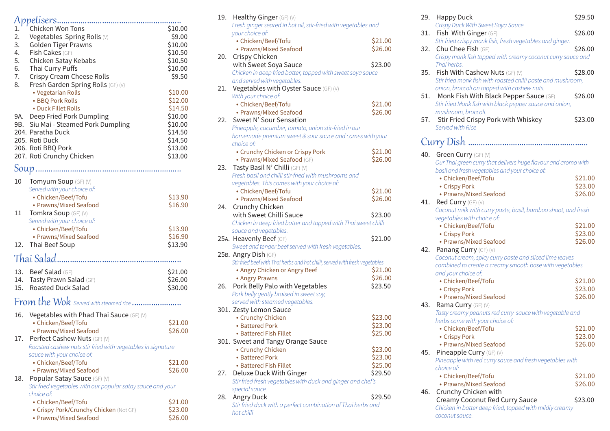| Chicken Won Tons<br>1.                                        | \$10.00            |
|---------------------------------------------------------------|--------------------|
| 2.<br>Vegetables Spring Rolls (V)                             | \$9.00             |
| 3.<br><b>Golden Tiger Prawns</b>                              | \$10.00            |
| 4.<br><b>Fish Cakes</b> (GF)                                  | \$10.50            |
| 5.<br>Chicken Satay Kebabs                                    | \$10.50            |
| 6.<br>Thai Curry Puffs                                        | \$10.00            |
| 7.<br>Crispy Cream Cheese Rolls                               | \$9.50             |
| 8.<br>Fresh Garden Spring Rolls (GF) (V)                      |                    |
| • Vegetarian Rolls                                            | \$10.00            |
| • BBQ Pork Rolls                                              | \$12.00            |
| • Duck Fillet Rolls                                           | \$14.50            |
| Deep Fried Pork Dumpling<br>9A.                               | \$10.00            |
| Siu Mai - Steamed Pork Dumpling<br>9B. I                      | \$10.00            |
| 204. Paratha Duck                                             | \$14.50            |
| 205. Roti Duck                                                | \$14.50            |
| 206. Roti BBQ Pork                                            | \$13.00            |
| 207. Roti Crunchy Chicken                                     | \$13.00            |
|                                                               |                    |
| 10<br>Tomyum Soup (GF) (V)                                    |                    |
| Served with your choice of:                                   |                    |
| • Chicken/Beef/Tofu                                           | \$13.90            |
| • Prawns/Mixed Seafood                                        | \$16.90            |
| 11<br>Tomkra Soup (GF) (V)                                    |                    |
| Served with your choice of:                                   |                    |
| • Chicken/Beef/Tofu                                           | \$13.90            |
| • Prawns/Mixed Seafood                                        | \$16.90            |
| 12. Thai Beef Soup                                            | \$13.90            |
|                                                               |                    |
| 13. Beef Salad (GF)                                           | \$21.00            |
| 14.<br>Tasty Prawn Salad (GF)                                 | \$26.00            |
| <b>Roasted Duck Salad</b><br>15.                              | \$30.00            |
|                                                               |                    |
| From the Wok Served with steamed rice                         |                    |
| Vegetables with Phad Thai Sauce (GF) (V)<br>16.               |                    |
| • Chicken/Beef/Tofu                                           | \$21.00            |
| • Prawns/Mixed Seafood                                        | \$26.00            |
| Perfect Cashew Nuts (GF) (V)<br>17.                           |                    |
| Roasted cashew nuts stir fried with vegetables in signature   |                    |
| sauce with your choice of:                                    |                    |
| • Chicken/Beef/Tofu                                           | \$21.00<br>\$26.00 |
| • Prawns/Mixed Seafood<br>Popular Satay Sauce (GF) (V)<br>18. |                    |
| Stir fried vegetables with our popular satay sauce and your   |                    |
| choice of:                                                    |                    |
| • Chicken/Beef/Tofu                                           | \$21.00            |
| · Crispy Pork/Crunchy Chicken (Not GF)                        | \$23.00            |
| • Prawns/Mixed Seafood                                        | \$26.00            |

|     | Fresh ginger seared in hot oil, stir-fried with vegetables and               |         |
|-----|------------------------------------------------------------------------------|---------|
|     | your choice of:                                                              |         |
|     | • Chicken/Beef/Tofu                                                          | \$21.00 |
|     | • Prawns/Mixed Seafood                                                       | \$26.00 |
| 20. | Crispy Chicken                                                               |         |
|     | with Sweet Soya Sauce                                                        | \$23.00 |
|     | Chicken in deep fried batter, topped with sweet soya sauce                   |         |
|     | and served with vegetables.                                                  |         |
| 21. | Vegetables with Oyster Sauce (GF) (V)                                        |         |
|     | With your choice of:                                                         |         |
|     | • Chicken/Beef/Tofu                                                          | \$21.00 |
|     | • Prawns/Mixed Seafood                                                       | \$26.00 |
| 22. | Sweet N' Sour Sensation                                                      |         |
|     | Pineapple, cucumber, tomato, onion stir-fried in our                         |         |
|     | homemade premium sweet & sour sauce and comes with your                      |         |
|     | choice of:                                                                   |         |
|     | • Crunchy Chicken or Crispy Pork                                             | \$21.00 |
|     | · Prawns/Mixed Seafood (GF)                                                  | \$26.00 |
| 23. | Tasty Basil N' Chilli (GF) (V)                                               |         |
|     | Fresh basil and chilli stir-fried with mushrooms and                         |         |
|     | vegetables. This comes with your choice of:                                  |         |
|     | • Chicken/Beef/Tofu                                                          | \$21.00 |
|     | • Prawns/Mixed Seafood                                                       | \$26.00 |
|     | 24. Crunchy Chicken                                                          |         |
|     | with Sweet Chilli Sauce                                                      | \$23.00 |
|     | Chicken in deep fried batter and topped with Thai sweet chilli               |         |
|     | sauce and vegetables.                                                        |         |
|     | 25A. Heavenly Beef (GF)                                                      | \$21.00 |
|     | Sweet and tender beef served with fresh vegetables.                          |         |
|     | 25B. Angry Dish (GF)                                                         |         |
|     | Stir fried beef with Thai herbs and hot chilli, served with fresh vegetables |         |
|     | • Angry Chicken or Angry Beef                                                | \$21.00 |
|     | • Angry Prawns                                                               | \$26.00 |
| 26. | Pork Belly Palo with Vegetables                                              | \$23.50 |
|     | Pork belly gently braised in sweet soy,                                      |         |
|     | served with steamed vegetables.                                              |         |
|     | 301. Zesty Lemon Sauce                                                       |         |
|     | • Crunchy Chicken                                                            | \$23.00 |
|     | • Battered Pork                                                              | \$23.00 |
|     | • Battered Fish Fillet                                                       | \$25.00 |
|     | 301. Sweet and Tangy Orange Sauce                                            |         |
|     | • Crunchy Chicken                                                            | \$23.00 |
|     | • Battered Pork                                                              | \$23.00 |
|     | • Battered Fish Fillet                                                       | \$25.00 |
| 27. | Deluxe Duck With Ginger                                                      | \$29.50 |
|     | Stir fried fresh vegetables with duck and ginger and chef's                  |         |
|     | special sauce.                                                               |         |
| 28. | Angry Duck                                                                   | \$29.50 |
|     | Stir fried duck with a perfect combination of Thai herbs and                 |         |
|     | hot chilli                                                                   |         |
|     |                                                                              |         |

19. Healthy Ginger (GF) (V)

| 29. | <b>Happy Duck</b>                                                               | \$29.50            |  |
|-----|---------------------------------------------------------------------------------|--------------------|--|
|     | Crispy Duck With Sweet Soya Sauce                                               |                    |  |
| 31. | Fish With Ginger (GF)                                                           | \$26.00            |  |
| 32. | Stir fried crispy monk fish, fresh vegetables and ginger.<br>Chu Chee Fish (GF) | \$26.00            |  |
|     | Crispy monk fish topped with creamy coconut curry sauce and                     |                    |  |
|     | Thai herbs.                                                                     |                    |  |
| 35. | Fish With Cashew Nuts (GF) (V)                                                  | \$28.00            |  |
|     | Stir fried monk fish with roasted chilli paste and mushroom,                    |                    |  |
|     | onion, broccoli on topped with cashew nuts.                                     |                    |  |
| 51. | Monk Fish With Black Pepper Sauce (GF)                                          | \$26.00            |  |
|     | Stir fried Monk fish with black pepper sauce and onion,                         |                    |  |
|     | mushroom, broccoli.                                                             |                    |  |
| 57. | Stir Fried Crispy Pork with Whiskey                                             | \$23.00            |  |
|     | Served with Rice                                                                |                    |  |
|     |                                                                                 |                    |  |
|     |                                                                                 |                    |  |
|     | 40. Green Curry (GF) (V)                                                        |                    |  |
|     | Our Thai green curry that delivers huge flavour and aroma with                  |                    |  |
|     | basil and fresh vegetables and your choice of:                                  |                    |  |
|     | • Chicken/Beef/Tofu                                                             | \$21.00            |  |
|     | • Crispy Pork                                                                   | \$23.00            |  |
|     | • Prawns/Mixed Seafood                                                          | \$26.00            |  |
| 41. | Red Curry (GF) (V)                                                              |                    |  |
|     | Coconut milk with curry paste, basil, bamboo shoot, and fresh                   |                    |  |
|     | vegetables with choice of:                                                      |                    |  |
|     | • Chicken/Beef/Tofu                                                             | \$21.00            |  |
|     | • Crispy Pork                                                                   | \$23.00            |  |
|     | • Prawns/Mixed Seafood                                                          | \$26.00            |  |
| 42. | Panang Curry (GF) (V)                                                           |                    |  |
|     | Coconut cream, spicy curry paste and sliced lime leaves                         |                    |  |
|     | combined to create a creamy smooth base with vegetables                         |                    |  |
|     | and your choice of:                                                             |                    |  |
|     | • Chicken/Beef/Tofu                                                             | \$21.00            |  |
|     | • Crispy Pork                                                                   | \$23.00<br>\$26.00 |  |
| 43. | • Prawns/Mixed Seafood<br>Rama Curry (GF) (V)                                   |                    |  |
|     | Tasty creamy peanuts red curry sauce with vegetable and                         |                    |  |
|     | herbs come with your choice of:                                                 |                    |  |
|     | • Chicken/Beef/Tofu                                                             | \$21.00            |  |
|     | • Crispy Pork                                                                   | \$23.00            |  |
|     | • Prawns/Mixed Seafood                                                          | \$26.00            |  |
| 45. | Pineapple Curry (GF) (V)                                                        |                    |  |
|     | Pineapple with red curry sauce and fresh vegetables with                        |                    |  |
|     | choice of:                                                                      |                    |  |
|     | • Chicken/Beef/Tofu                                                             | \$21.00            |  |
|     | • Prawns/Mixed Seafood                                                          | \$26.00            |  |
| 46. | Crunchy Chicken with                                                            |                    |  |
|     | Creamy Coconut Red Curry Sauce                                                  | \$23.00            |  |
|     | Chicken in batter deep fried, topped with mildly creamy                         |                    |  |

*coconut sauce.*